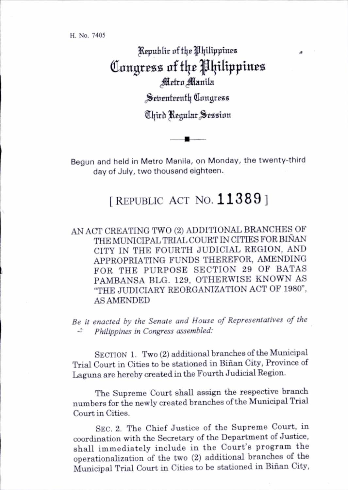H. No. 7405

Republic of the Philippines Congress of the Philippines Metro Manila Seirenteenth Congress ®l]trh ^gular(^eaaton

Begun and held in Metro Manila, on Monday, the twenty-third day of July, two thousand eighteen.

## [REPUBLIC ACT NO.  $113891$

AN ACT CREATING TWO (2) ADDITIONAL BRANCHES OF THE MUNICIPAL TRIAL COURT IN CITIES FOR BINAN CITY IN THE FOURTH JUDICIAL REGION, AND APPROPRIATING FUNDS THEREFOR, AMENDING FOR THE PURPOSE SECTION 29 OF BATAS PAMBANSA BLG. 129, OTHERWISE KNOWN AS "THE JUDICIARY REORGANIZATION ACT OF 1980", AS AMENDED

Be it enacted by the Senate and House of Representatives of the ~ Philippines in Congress assembled:

SECTION 1. Two (2) additional branches of the Municipal Trial Court in Cities to be stationed in Binan City, Province of Laguna are hereby created in the Fourth Judicial Region.

The Supreme Court shall assign the respective branch numbers for the newly created branches of the Municipal Trial Court in Cities.

Sec. 2. The Chief Justice of the Supreme Court, in coordination with the Secretary of the Department of Justice, shall immediately include in the Court's program the operationahzation of the two (2) additional branches of the Municipal Trial Court in Cities to be stationed in Binan City,